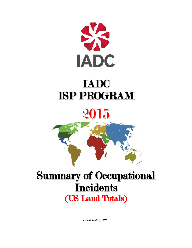

# IADC ISP PROGRAM

# 2015



## Summary of Occupational **Incidents** (US Land Totals)

Issued 15 July 2016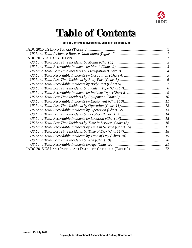

### Table of Contents

**(Table of Contents is Hyperlinked, Just click on Topic & go)**

| US Land Total Recordable Incidents by Time in Service (Chart 16) 17 |  |
|---------------------------------------------------------------------|--|
|                                                                     |  |
|                                                                     |  |
|                                                                     |  |
|                                                                     |  |
|                                                                     |  |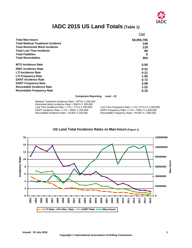

### **IADC 2015 US Land Totals (Table 1)**

<span id="page-2-0"></span>

|                                          | Total      |
|------------------------------------------|------------|
| <b>Total Man-hours</b>                   | 58,055,785 |
| <b>Total Medical Treatment Incidents</b> | 146        |
| <b>Total Restricted Work Incidents</b>   | 118        |
| <b>Total Lost Time Incidents</b>         | 90         |
| <b>Total Fatalities</b>                  | 0          |
| <b>Total Recordables</b>                 | 354        |
| <b>MTO Incidence Rate</b>                | 0.50       |
| <b>RWC Incidence Rate</b>                | 0.41       |
| <b>LTI Incidence Rate</b>                | 0.31       |
| <b>LTI Frequency Rate</b>                | 1.55       |
| <b>DART Incidence Rate</b>               | 0.72       |
| <b>DART Frequency Rate</b>               | 3.58       |
| Recordable Incidence Rate                | 1.22       |
| <b>Recordable Frequency Rate</b>         | 6.10       |

#### **Companies Reporting: Land – 32**

Medical Treatment Incidence Rate = MTOs X 200,000 Restricted Work Incidence Rate = RWCs X 200,000<br>Lost Time Incidence Rate = LTIs + FTLs X 200,000 Lost Time Incidence Rate = LTIs + FTLs X 200,000 Lost Time Frequency Rate = LTIs + FTLs X 1,000,000<br>DART Incidence Rate = LTIs + RWC X 200,000 DART Frequency Rate = LTIs + RWC X 1,000,000 DART Incidence Rate = LTIs + RWC X 200,000 DART Frequency Rate = LTIs + RWC X 1,000,000<br>Recordable Incidence Rate = RCRD X 200,000 Recordable Frequency Rate = RCRD X 1,000,000

Recordable Frequency Rate = RCRD  $X$  1,000,000

<span id="page-2-1"></span>

#### **US Land Total Incidence Rates vs Man-hours (Figure 1)**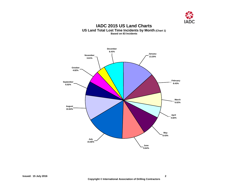

**IADC 2015 US Land Charts US Land Total Lost Time Incidents by Month (Chart 1) Based on 83 Incidents**

<span id="page-3-1"></span><span id="page-3-0"></span>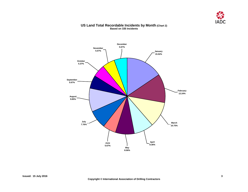

#### **US Land Total Recordable Incidents by Month (Chart 2) Based on 335 Incidents**

<span id="page-4-1"></span><span id="page-4-0"></span>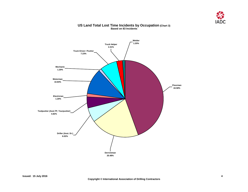

### **Truck Driver / Pusher 7.23% Truck Helper 2.41% Welder 1.20% Mechanic 1.20% Toolpusher (Asst.TP, Tourpusher) 4.82% Electrician 1.20% Motorman 10.84% Driller (Asst. Dr.) 6.02% Derrickman 20.48% Floorman 44.58%**

#### **US Land Total Lost Time Incidents by Occupation (Chart 3) Based on 83 Incidents**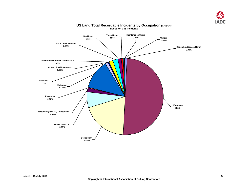

<span id="page-6-0"></span>

#### **US Land Total Recordable Incidents by Occupation (Chart 4) Based on 335 Incidents**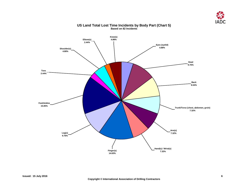

<span id="page-7-0"></span>

#### **US Land Total Lost Time Incidents by Body Part (Chart 5) Based on 82 Incidents**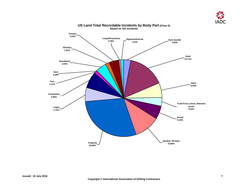

<span id="page-8-0"></span>

#### **US Land Total Recordable Incidents by Body Part (Chart 6) Based on 331 Incidents**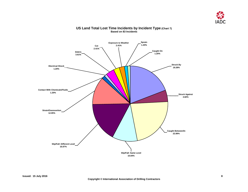

<span id="page-9-0"></span>

#### **US Land Total Lost Time Incidents by Incident Type (Chart 7) Based on 83 Incidents**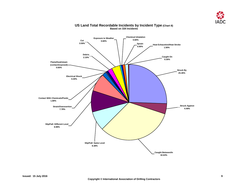

<span id="page-10-0"></span>

#### **US Land Total Recordable Incidents by Incident Type (Chart 8) Based on 334 Incidents**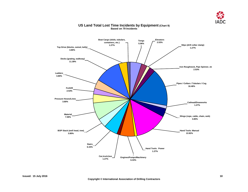

<span id="page-11-0"></span>

#### **US Land Total Lost Time Incidents by Equipment (Chart 9) Based on 79 Incidents**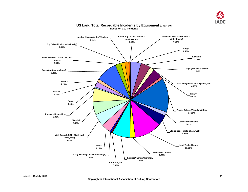

<span id="page-12-0"></span>

#### **US Land Total Recordable Incidents by Equipment (Chart 10) Based on 310 Incidents**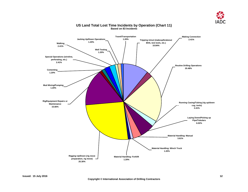

<span id="page-13-0"></span>

#### **US Land Total Lost Time Incidents by Operation (Chart 11) Based on 83 Incidents**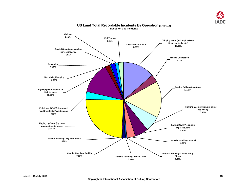

<span id="page-14-0"></span>

#### **US Land Total Recordable Incidents by Operation (Chart 12) Based on 332 Incidents**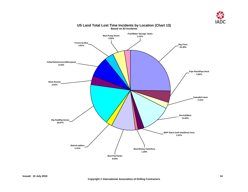

<span id="page-15-0"></span>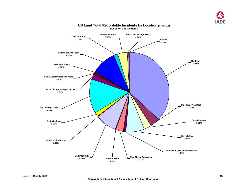

<span id="page-16-0"></span>

#### **US Land Total Recordable Incidents by Location (Chart 14) Based on 331 Incidents**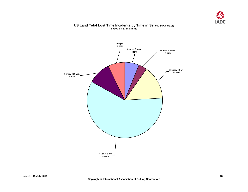

#### **US Land Total Lost Time Incidents by Time in Service (Chart 15) Based on 83 Incidents**

<span id="page-17-0"></span>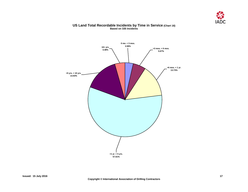

#### **US Land Total Recordable Incidents by Time in Service (Chart 16) Based on 335 Incidents**

<span id="page-18-0"></span>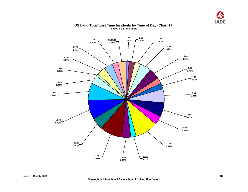

<span id="page-19-0"></span>

#### **US Land Total Lost Time Incidents by Time of Day (Chart 17) Based on 83 Incidents**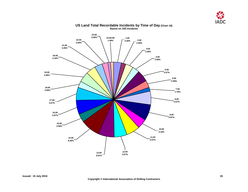

<span id="page-20-0"></span>

#### **US Land Total Recordable Incidents by Time of Day (Chart 18) Based on 335 Incidents**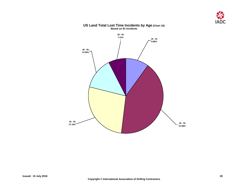



#### **US Land Total Lost Time Incidents by Age (Chart 19) Based on 81 Incidents**